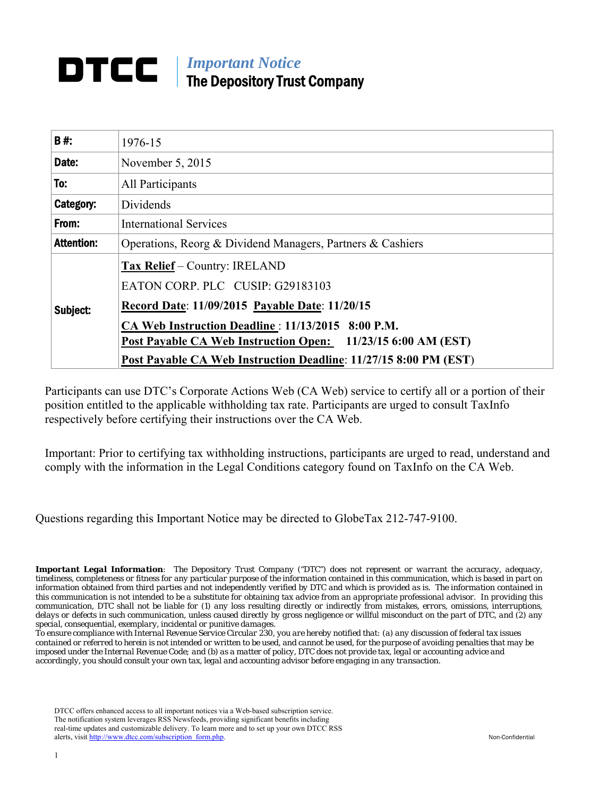# *Important Notice*  DTCC I The Depository Trust Company

| <b>B#:</b>        | 1976-15                                                          |  |  |  |  |
|-------------------|------------------------------------------------------------------|--|--|--|--|
| Date:             | November 5, 2015                                                 |  |  |  |  |
| To:               | All Participants                                                 |  |  |  |  |
| Category:         | Dividends                                                        |  |  |  |  |
| From:             | <b>International Services</b>                                    |  |  |  |  |
| <b>Attention:</b> | Operations, Reorg & Dividend Managers, Partners & Cashiers       |  |  |  |  |
| Subject:          | Tax Relief – Country: IRELAND                                    |  |  |  |  |
|                   | EATON CORP. PLC CUSIP: G29183103                                 |  |  |  |  |
|                   | Record Date: 11/09/2015 Payable Date: 11/20/15                   |  |  |  |  |
|                   | CA Web Instruction Deadline: 11/13/2015 8:00 P.M.                |  |  |  |  |
|                   | Post Payable CA Web Instruction Open: 11/23/15 6:00 AM (EST)     |  |  |  |  |
|                   | Post Payable CA Web Instruction Deadline: 11/27/15 8:00 PM (EST) |  |  |  |  |

Participants can use DTC's Corporate Actions Web (CA Web) service to certify all or a portion of their position entitled to the applicable withholding tax rate. Participants are urged to consult TaxInfo respectively before certifying their instructions over the CA Web.

Important: Prior to certifying tax withholding instructions, participants are urged to read, understand and comply with the information in the Legal Conditions category found on TaxInfo on the CA Web.

Questions regarding this Important Notice may be directed to GlobeTax 212-747-9100.

*Important Legal Information: The Depository Trust Company ("DTC") does not represent or warrant the accuracy, adequacy, timeliness, completeness or fitness for any particular purpose of the information contained in this communication, which is based in part on information obtained from third parties and not independently verified by DTC and which is provided as is. The information contained in this communication is not intended to be a substitute for obtaining tax advice from an appropriate professional advisor. In providing this communication, DTC shall not be liable for (1) any loss resulting directly or indirectly from mistakes, errors, omissions, interruptions, delays or defects in such communication, unless caused directly by gross negligence or willful misconduct on the part of DTC, and (2) any special, consequential, exemplary, incidental or punitive damages.* 

*To ensure compliance with Internal Revenue Service Circular 230, you are hereby notified that: (a) any discussion of federal tax issues contained or referred to herein is not intended or written to be used, and cannot be used, for the purpose of avoiding penalties that may be imposed under the Internal Revenue Code; and (b) as a matter of policy, DTC does not provide tax, legal or accounting advice and accordingly, you should consult your own tax, legal and accounting advisor before engaging in any transaction.*

DTCC offers enhanced access to all important notices via a Web-based subscription service. The notification system leverages RSS Newsfeeds, providing significant benefits including real-time updates and customizable delivery. To learn more and to set up your own DTCC RSS alerts, visit http://www.dtcc.com/subscription\_form.php. Non-Confidential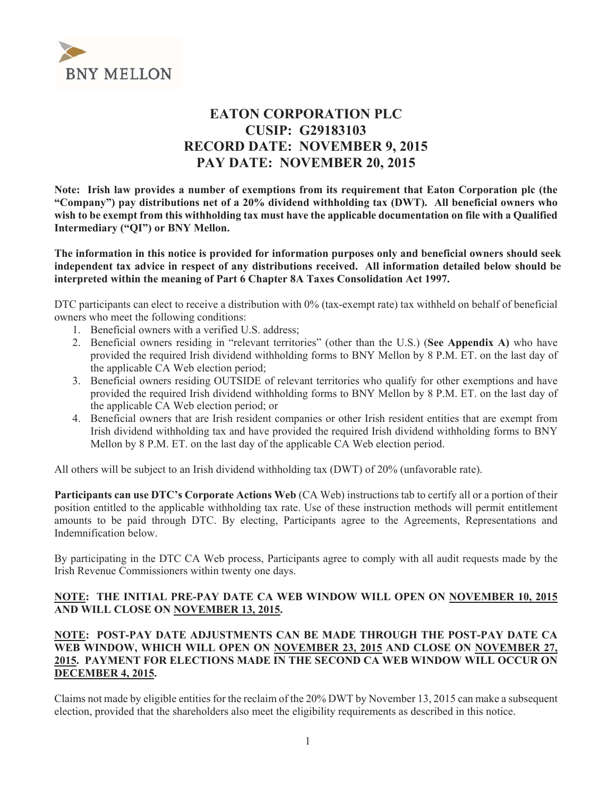

# **EATON CORPORATION PLC CUSIP: G29183103 RECORD DATE: NOVEMBER 9, 2015 PAY DATE: NOVEMBER 20, 2015**

Note: Irish law provides a number of exemptions from its requirement that Eaton Corporation plc (the "Company") pay distributions net of a 20% dividend withholding tax (DWT). All beneficial owners who wish to be exempt from this withholding tax must have the applicable documentation on file with a Qualified Intermediary ("QI") or BNY Mellon.

The information in this notice is provided for information purposes only and beneficial owners should seek independent tax advice in respect of any distributions received. All information detailed below should be interpreted within the meaning of Part 6 Chapter 8A Taxes Consolidation Act 1997.

DTC participants can elect to receive a distribution with 0% (tax-exempt rate) tax withheld on behalf of beneficial owners who meet the following conditions:

- 1. Beneficial owners with a verified U.S. address;
- 2. Beneficial owners residing in "relevant territories" (other than the U.S.) (See Appendix A) who have provided the required Irish dividend withholding forms to BNY Mellon by 8 P.M. ET, on the last day of the applicable CA Web election period;
- 3. Beneficial owners residing OUTSIDE of relevant territories who qualify for other exemptions and have provided the required Irish dividend withholding forms to BNY Mellon by 8 P.M. ET. on the last day of the applicable CA Web election period; or
- 4. Beneficial owners that are Irish resident companies or other Irish resident entities that are exempt from Irish dividend withholding tax and have provided the required Irish dividend withholding forms to BNY Mellon by 8 P.M. ET. on the last day of the applicable CA Web election period.

All others will be subject to an Irish dividend withholding tax (DWT) of 20% (unfavorable rate).

Participants can use DTC's Corporate Actions Web (CA Web) instructions tab to certify all or a portion of their position entitled to the applicable withholding tax rate. Use of these instruction methods will permit entitlement amounts to be paid through DTC. By electing, Participants agree to the Agreements, Representations and Indemnification below

By participating in the DTC CA Web process, Participants agree to comply with all audit requests made by the Irish Revenue Commissioners within twenty one days.

#### NOTE: THE INITIAL PRE-PAY DATE CA WEB WINDOW WILL OPEN ON NOVEMBER 10, 2015 AND WILL CLOSE ON NOVEMBER 13, 2015.

#### NOTE: POST-PAY DATE ADJUSTMENTS CAN BE MADE THROUGH THE POST-PAY DATE CA WEB WINDOW, WHICH WILL OPEN ON NOVEMBER 23, 2015 AND CLOSE ON NOVEMBER 27, 2015. PAYMENT FOR ELECTIONS MADE IN THE SECOND CA WEB WINDOW WILL OCCUR ON **DECEMBER 4, 2015.**

Claims not made by eligible entities for the reclaim of the 20% DWT by November 13, 2015 can make a subsequent election, provided that the shareholders also meet the eligibility requirements as described in this notice.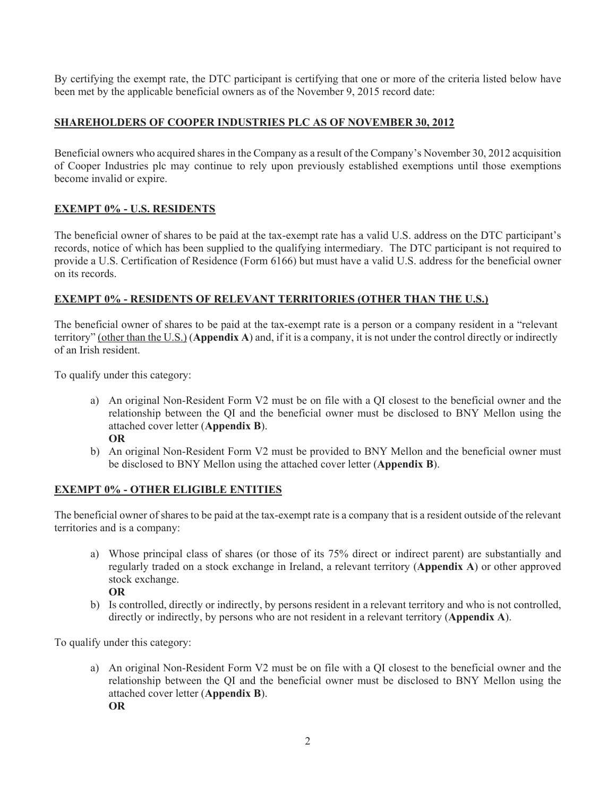By certifying the exempt rate, the DTC participant is certifying that one or more of the criteria listed below have been met by the applicable beneficial owners as of the November 9, 2015 record date:

# **SHAREHOLDERS OF COOPER INDUSTRIES PLC AS OF NOVEMBER 30, 2012**

Beneficial owners who acquired shares in the Company as a result of the Company's November 30, 2012 acquisition of Cooper Industries plc may continue to rely upon previously established exemptions until those exemptions become invalid or expire.

# **EXEMPT 0% - U.S. RESIDENTS**

The beneficial owner of shares to be paid at the tax-exempt rate has a valid U.S. address on the DTC participant's records, notice of which has been supplied to the qualifying intermediary. The DTC participant is not required to provide a U.S. Certification of Residence (Form 6166) but must have a valid U.S. address for the beneficial owner on its records.

# **EXEMPT 0% - RESIDENTS OF RELEVANT TERRITORIES (OTHER THAN THE U.S.)**

The beneficial owner of shares to be paid at the tax-exempt rate is a person or a company resident in a "relevant" territory" (other than the U.S.) (Appendix A) and, if it is a company, it is not under the control directly or indirectly of an Irish resident.

To qualify under this category:

- a) An original Non-Resident Form V2 must be on file with a OI closest to the beneficial owner and the relationship between the QI and the beneficial owner must be disclosed to BNY Mellon using the attached cover letter (Appendix B). **OR**
- b) An original Non-Resident Form V2 must be provided to BNY Mellon and the beneficial owner must be disclosed to BNY Mellon using the attached cover letter (Appendix B).

# **EXEMPT 0% - OTHER ELIGIBLE ENTITIES**

The beneficial owner of shares to be paid at the tax-exempt rate is a company that is a resident outside of the relevant territories and is a company:

- a) Whose principal class of shares (or those of its 75% direct or indirect parent) are substantially and regularly traded on a stock exchange in Ireland, a relevant territory (Appendix A) or other approved stock exchange. **OR**
- b) Is controlled, directly or indirectly, by persons resident in a relevant territory and who is not controlled, directly or indirectly, by persons who are not resident in a relevant territory (Appendix A).

To qualify under this category:

a) An original Non-Resident Form V2 must be on file with a QI closest to the beneficial owner and the relationship between the QI and the beneficial owner must be disclosed to BNY Mellon using the attached cover letter (Appendix B). **OR**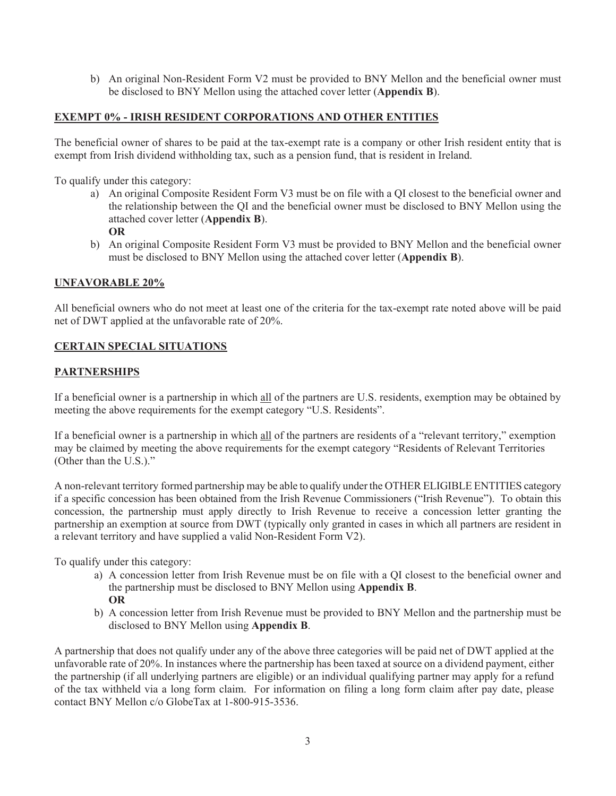b) An original Non-Resident Form V2 must be provided to BNY Mellon and the beneficial owner must be disclosed to BNY Mellon using the attached cover letter (Appendix B).

# **EXEMPT 0% - IRISH RESIDENT CORPORATIONS AND OTHER ENTITIES**

The beneficial owner of shares to be paid at the tax-exempt rate is a company or other Irish resident entity that is exempt from Irish dividend withholding tax, such as a pension fund, that is resident in Ireland.

To qualify under this category:

a) An original Composite Resident Form V3 must be on file with a QI closest to the beneficial owner and the relationship between the QI and the beneficial owner must be disclosed to BNY Mellon using the attached cover letter (Appendix B).

#### $\overline{OR}$

b) An original Composite Resident Form V3 must be provided to BNY Mellon and the beneficial owner must be disclosed to BNY Mellon using the attached cover letter (Appendix B).

#### **UNFAVORABLE 20%**

All beneficial owners who do not meet at least one of the criteria for the tax-exempt rate noted above will be paid net of DWT applied at the unfavorable rate of 20%.

# **CERTAIN SPECIAL SITUATIONS**

#### **PARTNERSHIPS**

If a beneficial owner is a partnership in which all of the partners are U.S. residents, exemption may be obtained by meeting the above requirements for the exempt category "U.S. Residents".

If a beneficial owner is a partnership in which all of the partners are residents of a "relevant territory," exemption may be claimed by meeting the above requirements for the exempt category "Residents of Relevant Territories" (Other than the U.S.)."

A non-relevant territory formed partnership may be able to qualify under the OTHER ELIGIBLE ENTITIES category if a specific concession has been obtained from the Irish Revenue Commissioners ("Irish Revenue"). To obtain this concession, the partnership must apply directly to Irish Revenue to receive a concession letter granting the partnership an exemption at source from DWT (typically only granted in cases in which all partners are resident in a relevant territory and have supplied a valid Non-Resident Form V2).

To qualify under this category:

- a) A concession letter from Irish Revenue must be on file with a QI closest to the beneficial owner and the partnership must be disclosed to BNY Mellon using Appendix B. **OR**
- b) A concession letter from Irish Revenue must be provided to BNY Mellon and the partnership must be disclosed to BNY Mellon using Appendix B.

A partnership that does not qualify under any of the above three categories will be paid net of DWT applied at the unfavorable rate of 20%. In instances where the partnership has been taxed at source on a dividend payment, either the partnership (if all underlying partners are eligible) or an individual qualifying partner may apply for a refund of the tax withheld via a long form claim. For information on filing a long form claim after pay date, please contact BNY Mellon c/o GlobeTax at 1-800-915-3536.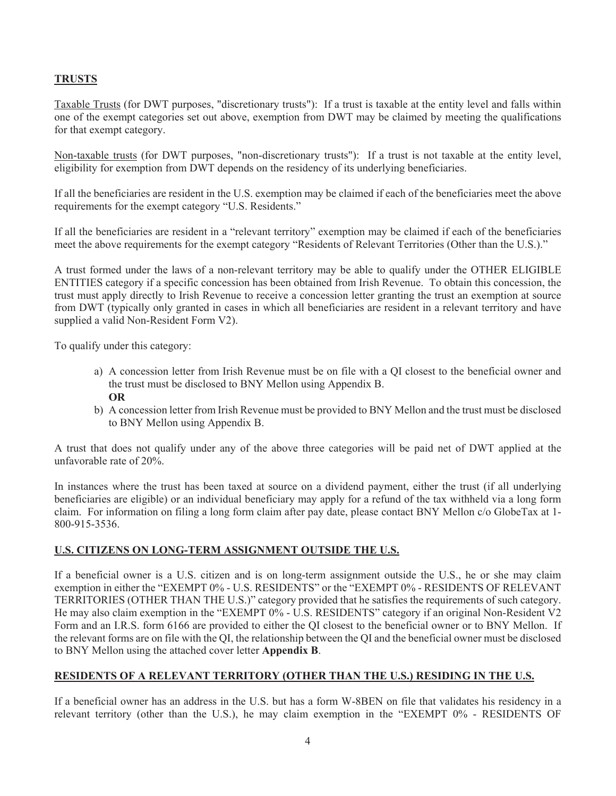# **TRUSTS**

Taxable Trusts (for DWT purposes, "discretionary trusts"): If a trust is taxable at the entity level and falls within one of the exempt categories set out above, exemption from DWT may be claimed by meeting the qualifications for that exempt category.

Non-taxable trusts (for DWT purposes, "non-discretionary trusts"): If a trust is not taxable at the entity level, eligibility for exemption from DWT depends on the residency of its underlying beneficiaries.

If all the beneficiaries are resident in the U.S. exemption may be claimed if each of the beneficiaries meet the above requirements for the exempt category "U.S. Residents."

If all the beneficiaries are resident in a "relevant territory" exemption may be claimed if each of the beneficiaries meet the above requirements for the exempt category "Residents of Relevant Territories (Other than the U.S.)."

A trust formed under the laws of a non-relevant territory may be able to qualify under the OTHER ELIGIBLE ENTITIES category if a specific concession has been obtained from Irish Revenue. To obtain this concession, the trust must apply directly to Irish Revenue to receive a concession letter granting the trust an exemption at source from DWT (typically only granted in cases in which all beneficiaries are resident in a relevant territory and have supplied a valid Non-Resident Form V2).

To qualify under this category:

- a) A concession letter from Irish Revenue must be on file with a OI closest to the beneficial owner and the trust must be disclosed to BNY Mellon using Appendix B. **OR**
- b) A concession letter from Irish Revenue must be provided to BNY Mellon and the trust must be disclosed to BNY Mellon using Appendix B.

A trust that does not qualify under any of the above three categories will be paid net of DWT applied at the unfavorable rate of 20%.

In instances where the trust has been taxed at source on a dividend payment, either the trust (if all underlying beneficiaries are eligible) or an individual beneficiary may apply for a refund of the tax withheld via a long form claim. For information on filing a long form claim after pay date, please contact BNY Mellon c/o GlobeTax at 1-800-915-3536

# U.S. CITIZENS ON LONG-TERM ASSIGNMENT OUTSIDE THE U.S.

If a beneficial owner is a U.S. citizen and is on long-term assignment outside the U.S., he or she may claim exemption in either the "EXEMPT 0% - U.S. RESIDENTS" or the "EXEMPT 0% - RESIDENTS OF RELEVANT TERRITORIES (OTHER THAN THE U.S.)" category provided that he satisfies the requirements of such category. He may also claim exemption in the "EXEMPT 0% - U.S. RESIDENTS" category if an original Non-Resident V2 Form and an I.R.S. form 6166 are provided to either the QI closest to the beneficial owner or to BNY Mellon. If the relevant forms are on file with the QI, the relationship between the QI and the beneficial owner must be disclosed to BNY Mellon using the attached cover letter **Appendix B**.

# RESIDENTS OF A RELEVANT TERRITORY (OTHER THAN THE U.S.) RESIDING IN THE U.S.

If a beneficial owner has an address in the U.S. but has a form W-8BEN on file that validates his residency in a relevant territory (other than the U.S.), he may claim exemption in the "EXEMPT 0% - RESIDENTS OF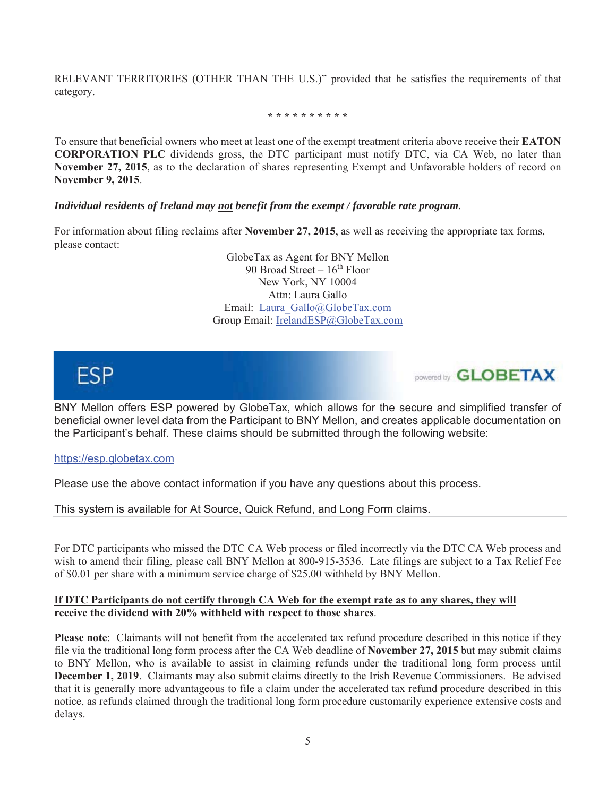RELEVANT TERRITORIES (OTHER THAN THE U.S.)" provided that he satisfies the requirements of that category.

\* \* \* \* \* \* \* \* \* \*

To ensure that beneficial owners who meet at least one of the exempt treatment criteria above receive their **EATON CORPORATION PLC** dividends gross, the DTC participant must notify DTC, via CA Web, no later than November 27, 2015, as to the declaration of shares representing Exempt and Unfavorable holders of record on November 9, 2015.

#### Individual residents of Ireland may not benefit from the exempt / favorable rate program.

For information about filing reclaims after November 27, 2015, as well as receiving the appropriate tax forms, please contact:

> GlobeTax as Agent for BNY Mellon 90 Broad Street  $-16^{th}$  Floor New York, NY 10004 Attn: Laura Gallo Email: Laura Gallo@GlobeTax.com Group Email: IrelandESP@GlobeTax.com



DOWEred by **GLOBETAX** 

BNY Mellon offers ESP powered by GlobeTax, which allows for the secure and simplified transfer of beneficial owner level data from the Participant to BNY Mellon, and creates applicable documentation on the Participant's behalf. These claims should be submitted through the following website:

https://esp.globetax.com

Please use the above contact information if you have any questions about this process.

This system is available for At Source, Quick Refund, and Long Form claims.

For DTC participants who missed the DTC CA Web process or filed incorrectly via the DTC CA Web process and wish to amend their filing, please call BNY Mellon at 800-915-3536. Late filings are subject to a Tax Relief Fee of \$0.01 per share with a minimum service charge of \$25.00 withheld by BNY Mellon.

#### If DTC Participants do not certify through CA Web for the exempt rate as to any shares, they will receive the dividend with 20% withheld with respect to those shares.

**Please note:** Claimants will not benefit from the accelerated tax refund procedure described in this notice if they file via the traditional long form process after the CA Web deadline of **November 27, 2015** but may submit claims to BNY Mellon, who is available to assist in claiming refunds under the traditional long form process until **December 1, 2019**. Claimants may also submit claims directly to the Irish Revenue Commissioners. Be advised that it is generally more advantageous to file a claim under the accelerated tax refund procedure described in this notice, as refunds claimed through the traditional long form procedure customarily experience extensive costs and delays.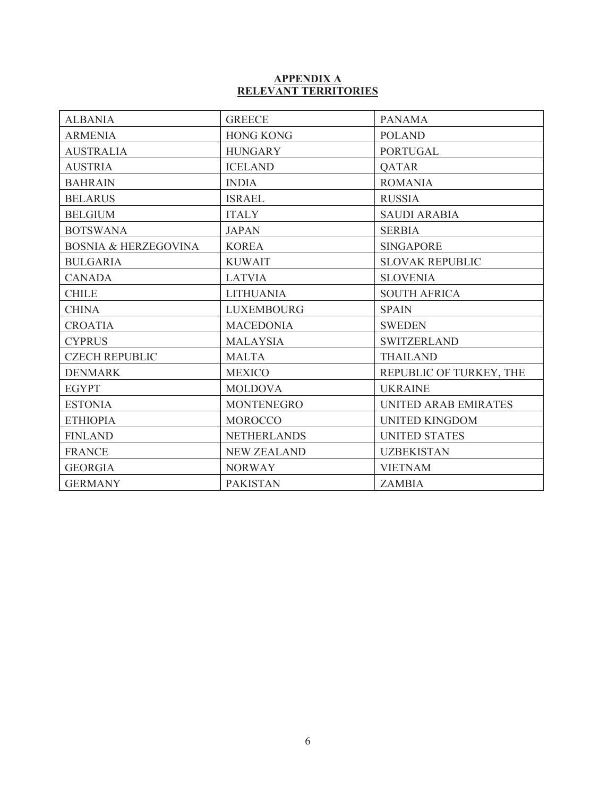# APPENDIX A<br>RELEVANT TERRITORIES

| <b>ALBANIA</b>                  | <b>GREECE</b>      | <b>PANAMA</b>               |
|---------------------------------|--------------------|-----------------------------|
| <b>ARMENIA</b>                  | <b>HONG KONG</b>   | <b>POLAND</b>               |
| <b>AUSTRALIA</b>                | <b>HUNGARY</b>     | <b>PORTUGAL</b>             |
| <b>AUSTRIA</b>                  | <b>ICELAND</b>     | <b>QATAR</b>                |
| <b>BAHRAIN</b>                  | <b>INDIA</b>       | <b>ROMANIA</b>              |
| <b>BELARUS</b>                  | <b>ISRAEL</b>      | <b>RUSSIA</b>               |
| <b>BELGIUM</b>                  | <b>ITALY</b>       | <b>SAUDI ARABIA</b>         |
| <b>BOTSWANA</b>                 | <b>JAPAN</b>       | <b>SERBIA</b>               |
| <b>BOSNIA &amp; HERZEGOVINA</b> | <b>KOREA</b>       | <b>SINGAPORE</b>            |
| <b>BULGARIA</b>                 | <b>KUWAIT</b>      | <b>SLOVAK REPUBLIC</b>      |
| <b>CANADA</b>                   | <b>LATVIA</b>      | <b>SLOVENIA</b>             |
| <b>CHILE</b>                    | <b>LITHUANIA</b>   | <b>SOUTH AFRICA</b>         |
| <b>CHINA</b>                    | <b>LUXEMBOURG</b>  | <b>SPAIN</b>                |
| <b>CROATIA</b>                  | <b>MACEDONIA</b>   | <b>SWEDEN</b>               |
| <b>CYPRUS</b>                   | <b>MALAYSIA</b>    | <b>SWITZERLAND</b>          |
| <b>CZECH REPUBLIC</b>           | <b>MALTA</b>       | <b>THAILAND</b>             |
| <b>DENMARK</b>                  | <b>MEXICO</b>      | REPUBLIC OF TURKEY, THE     |
| <b>EGYPT</b>                    | <b>MOLDOVA</b>     | <b>UKRAINE</b>              |
| <b>ESTONIA</b>                  | <b>MONTENEGRO</b>  | <b>UNITED ARAB EMIRATES</b> |
| <b>ETHIOPIA</b>                 | <b>MOROCCO</b>     | <b>UNITED KINGDOM</b>       |
| <b>FINLAND</b>                  | <b>NETHERLANDS</b> | <b>UNITED STATES</b>        |
| <b>FRANCE</b>                   | <b>NEW ZEALAND</b> | <b>UZBEKISTAN</b>           |
| <b>GEORGIA</b>                  | <b>NORWAY</b>      | <b>VIETNAM</b>              |
| <b>GERMANY</b>                  | <b>PAKISTAN</b>    | <b>ZAMBIA</b>               |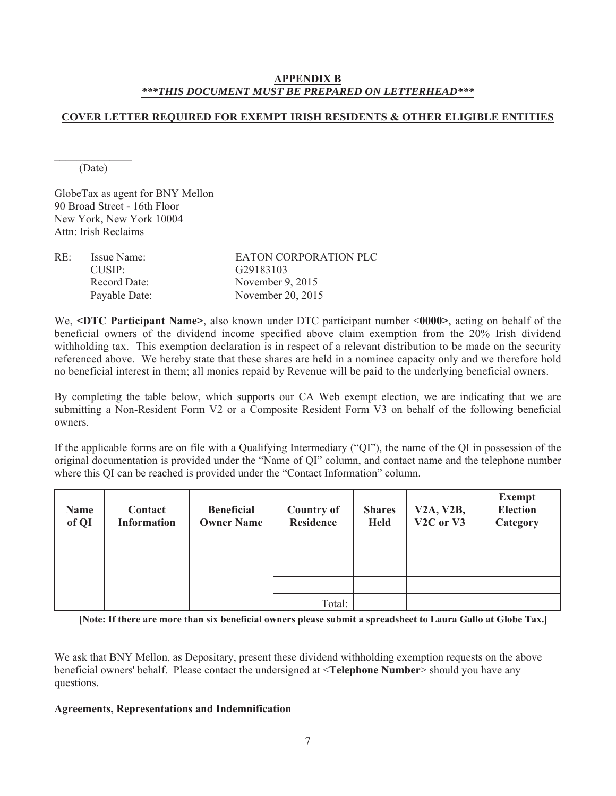#### **APPENDIX B** \*\*\*THIS DOCUMENT MUST BE PREPARED ON LETTERHEAD\*\*\*

# **COVER LETTER REQUIRED FOR EXEMPT IRISH RESIDENTS & OTHER ELIGIBLE ENTITIES**

(Date)

GlobeTax as agent for BNY Mellon 90 Broad Street - 16th Floor New York, New York 10004 Attn<sup>-</sup> Irish Reclaims

| RE: | Issue Name:   | EATON CORPORATION PLC |
|-----|---------------|-----------------------|
|     | $CI$ $SIP$    | G <sub>29183103</sub> |
|     | Record Date:  | November $9, 2015$    |
|     | Payable Date: | November 20, 2015     |

We, <DTC Participant Name>, also known under DTC participant number <0000>, acting on behalf of the beneficial owners of the dividend income specified above claim exemption from the 20% Irish dividend withholding tax. This exemption declaration is in respect of a relevant distribution to be made on the security referenced above. We hereby state that these shares are held in a nominee capacity only and we therefore hold no beneficial interest in them; all monies repaid by Revenue will be paid to the underlying beneficial owners.

By completing the table below, which supports our CA Web exempt election, we are indicating that we are submitting a Non-Resident Form V2 or a Composite Resident Form V3 on behalf of the following beneficial owners

If the applicable forms are on file with a Qualifying Intermediary ("QI"), the name of the QI in possession of the original documentation is provided under the "Name of QI" column, and contact name and the telephone number where this QI can be reached is provided under the "Contact Information" column.

| <b>Name</b><br>of QI | Contact<br><b>Information</b> | <b>Beneficial</b><br><b>Owner Name</b> | <b>Country of</b><br><b>Residence</b> | <b>Shares</b><br><b>Held</b> | <b>V2A, V2B,</b><br>V <sub>2</sub> C or V <sub>3</sub> | <b>Exempt</b><br><b>Election</b><br>Category |
|----------------------|-------------------------------|----------------------------------------|---------------------------------------|------------------------------|--------------------------------------------------------|----------------------------------------------|
|                      |                               |                                        |                                       |                              |                                                        |                                              |
|                      |                               |                                        |                                       |                              |                                                        |                                              |
|                      |                               |                                        |                                       |                              |                                                        |                                              |
|                      |                               |                                        |                                       |                              |                                                        |                                              |
|                      |                               |                                        | Total:                                |                              |                                                        |                                              |

[Note: If there are more than six beneficial owners please submit a spreadsheet to Laura Gallo at Globe Tax.]

We ask that BNY Mellon, as Depositary, present these dividend withholding exemption requests on the above beneficial owners' behalf. Please contact the undersigned at <Telephone Number> should you have any questions.

#### **Agreements, Representations and Indemnification**